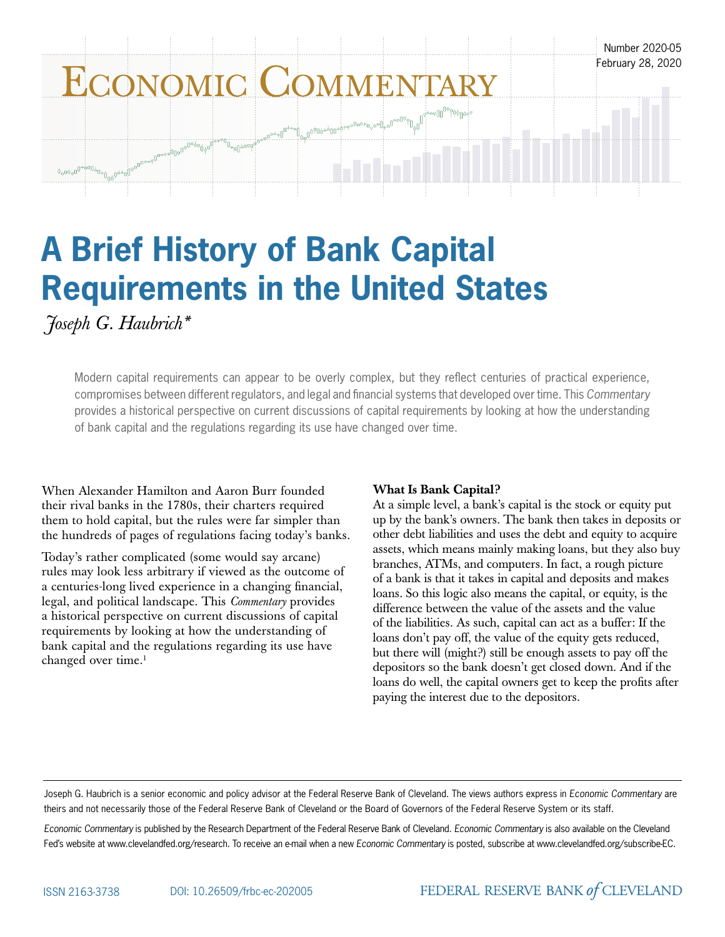

# **A Brief History of Bank Capital Requirements in the United States**

*Joseph G. Haubrich\**

Modern capital requirements can appear to be overly complex, but they reflect centuries of practical experience, compromises between different regulators, and legal and financial systems that developed over time. This *Commentary* provides a historical perspective on current discussions of capital requirements by looking at how the understanding of bank capital and the regulations regarding its use have changed over time.

When Alexander Hamilton and Aaron Burr founded their rival banks in the 1780s, their charters required them to hold capital, but the rules were far simpler than the hundreds of pages of regulations facing today's banks.

Today's rather complicated (some would say arcane) rules may look less arbitrary if viewed as the outcome of a centuries-long lived experience in a changing financial, legal, and political landscape. This *Commentary* provides a historical perspective on current discussions of capital requirements by looking at how the understanding of bank capital and the regulations regarding its use have changed over time.<sup>1</sup>

# What Is Bank Capital?

At a simple level, a bank's capital is the stock or equity put up by the bank's owners. The bank then takes in deposits or other debt liabilities and uses the debt and equity to acquire assets, which means mainly making loans, but they also buy branches, ATMs, and computers. In fact, a rough picture of a bank is that it takes in capital and deposits and makes loans. So this logic also means the capital, or equity, is the difference between the value of the assets and the value of the liabilities. As such, capital can act as a buffer: If the loans don't pay off, the value of the equity gets reduced, but there will (might?) still be enough assets to pay off the depositors so the bank doesn't get closed down. And if the loans do well, the capital owners get to keep the profits after paying the interest due to the depositors.

Joseph G. Haubrich is a senior economic and policy advisor at the Federal Reserve Bank of Cleveland. The views authors express in *Economic Commentary* are theirs and not necessarily those of the Federal Reserve Bank of Cleveland or the Board of Governors of the Federal Reserve System or its staff.

*Economic Commentary* is published by the Research Department of the Federal Reserve Bank of Cleveland. *Economic Commentary* is also available on the Cleveland Fed's website at www.clevelandfed.org/research. To receive an e-mail when a new *Economic Commentary* is posted, subscribe at www.clevelandfed.org/subscribe-EC.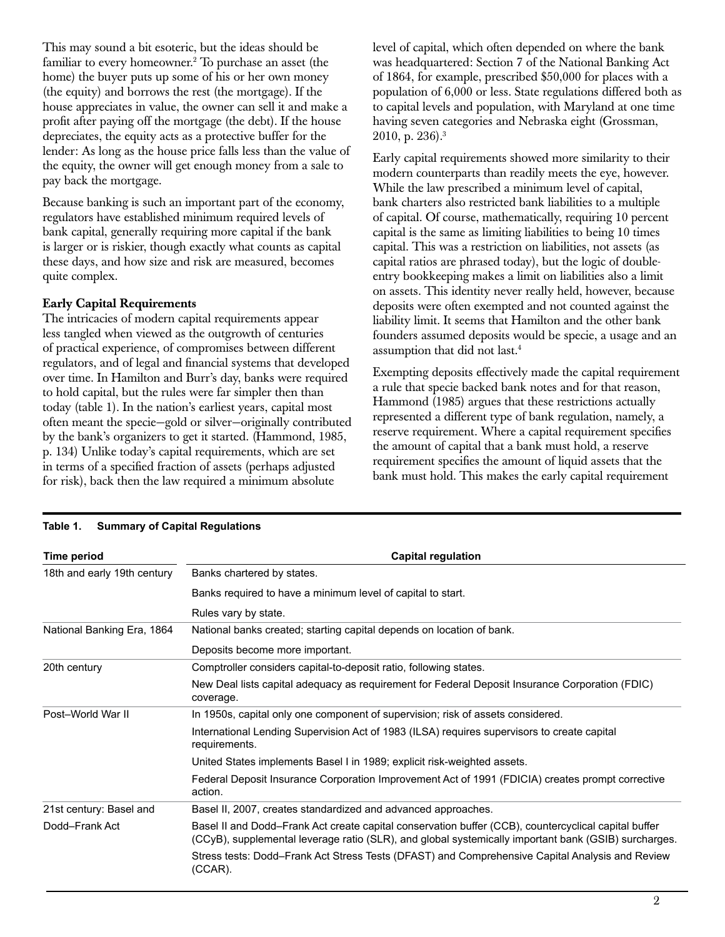This may sound a bit esoteric, but the ideas should be familiar to every homeowner.<sup>2</sup> To purchase an asset (the home) the buyer puts up some of his or her own money (the equity) and borrows the rest (the mortgage). If the house appreciates in value, the owner can sell it and make a profit after paying off the mortgage (the debt). If the house depreciates, the equity acts as a protective buffer for the lender: As long as the house price falls less than the value of the equity, the owner will get enough money from a sale to pay back the mortgage.

Because banking is such an important part of the economy, regulators have established minimum required levels of bank capital, generally requiring more capital if the bank is larger or is riskier, though exactly what counts as capital these days, and how size and risk are measured, becomes quite complex.

# Early Capital Requirements

The intricacies of modern capital requirements appear less tangled when viewed as the outgrowth of centuries of practical experience, of compromises between different regulators, and of legal and financial systems that developed over time. In Hamilton and Burr's day, banks were required to hold capital, but the rules were far simpler then than today (table 1). In the nation's earliest years, capital most often meant the specie—gold or silver—originally contributed by the bank's organizers to get it started. (Hammond, 1985, p. 134) Unlike today's capital requirements, which are set in terms of a specified fraction of assets (perhaps adjusted for risk), back then the law required a minimum absolute

level of capital, which often depended on where the bank was headquartered: Section 7 of the National Banking Act of 1864, for example, prescribed \$50,000 for places with a population of 6,000 or less. State regulations differed both as to capital levels and population, with Maryland at one time having seven categories and Nebraska eight (Grossman, 2010, p. 236).3

Early capital requirements showed more similarity to their modern counterparts than readily meets the eye, however. While the law prescribed a minimum level of capital, bank charters also restricted bank liabilities to a multiple of capital. Of course, mathematically, requiring 10 percent capital is the same as limiting liabilities to being 10 times capital. This was a restriction on liabilities, not assets (as capital ratios are phrased today), but the logic of doubleentry bookkeeping makes a limit on liabilities also a limit on assets. This identity never really held, however, because deposits were often exempted and not counted against the liability limit. It seems that Hamilton and the other bank founders assumed deposits would be specie, a usage and an assumption that did not last.4

Exempting deposits effectively made the capital requirement a rule that specie backed bank notes and for that reason, Hammond (1985) argues that these restrictions actually represented a different type of bank regulation, namely, a reserve requirement. Where a capital requirement specifies the amount of capital that a bank must hold, a reserve requirement specifies the amount of liquid assets that the bank must hold. This makes the early capital requirement

| <b>Time period</b>          | <b>Capital regulation</b>                                                                                                                                                                                    |
|-----------------------------|--------------------------------------------------------------------------------------------------------------------------------------------------------------------------------------------------------------|
| 18th and early 19th century | Banks chartered by states.                                                                                                                                                                                   |
|                             | Banks required to have a minimum level of capital to start.                                                                                                                                                  |
|                             | Rules vary by state.                                                                                                                                                                                         |
| National Banking Era, 1864  | National banks created; starting capital depends on location of bank.                                                                                                                                        |
|                             | Deposits become more important.                                                                                                                                                                              |
| 20th century                | Comptroller considers capital-to-deposit ratio, following states.                                                                                                                                            |
|                             | New Deal lists capital adequacy as requirement for Federal Deposit Insurance Corporation (FDIC)<br>coverage.                                                                                                 |
| Post-World War II           | In 1950s, capital only one component of supervision; risk of assets considered.                                                                                                                              |
|                             | International Lending Supervision Act of 1983 (ILSA) requires supervisors to create capital<br>requirements.                                                                                                 |
|                             | United States implements Basel I in 1989; explicit risk-weighted assets.                                                                                                                                     |
|                             | Federal Deposit Insurance Corporation Improvement Act of 1991 (FDICIA) creates prompt corrective<br>action.                                                                                                  |
| 21st century: Basel and     | Basel II, 2007, creates standardized and advanced approaches.                                                                                                                                                |
| Dodd-Frank Act              | Basel II and Dodd–Frank Act create capital conservation buffer (CCB), countercyclical capital buffer<br>(CCyB), supplemental leverage ratio (SLR), and global systemically important bank (GSIB) surcharges. |
|                             | Stress tests: Dodd-Frank Act Stress Tests (DFAST) and Comprehensive Capital Analysis and Review<br>(CCAR).                                                                                                   |

#### **Table 1. Summary of Capital Regulations**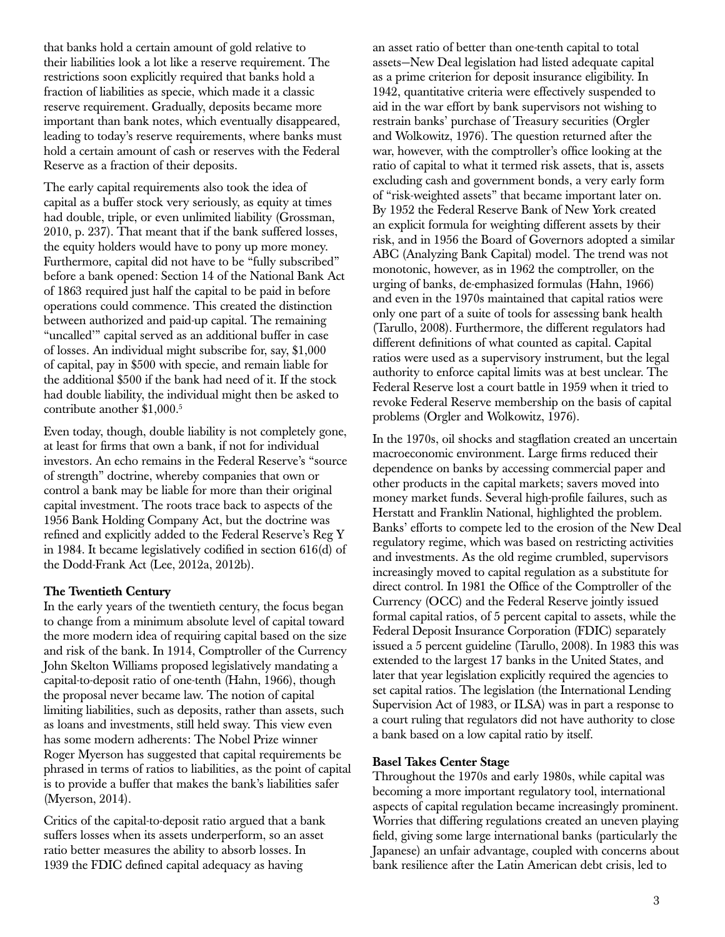that banks hold a certain amount of gold relative to their liabilities look a lot like a reserve requirement. The restrictions soon explicitly required that banks hold a fraction of liabilities as specie, which made it a classic reserve requirement. Gradually, deposits became more important than bank notes, which eventually disappeared, leading to today's reserve requirements, where banks must hold a certain amount of cash or reserves with the Federal Reserve as a fraction of their deposits.

The early capital requirements also took the idea of capital as a buffer stock very seriously, as equity at times had double, triple, or even unlimited liability (Grossman, 2010, p. 237). That meant that if the bank suffered losses, the equity holders would have to pony up more money. Furthermore, capital did not have to be "fully subscribed" before a bank opened: Section 14 of the National Bank Act of 1863 required just half the capital to be paid in before operations could commence. This created the distinction between authorized and paid-up capital. The remaining "uncalled'" capital served as an additional buffer in case of losses. An individual might subscribe for, say, \$1,000 of capital, pay in \$500 with specie, and remain liable for the additional \$500 if the bank had need of it. If the stock had double liability, the individual might then be asked to contribute another \$1,000.5

Even today, though, double liability is not completely gone, at least for firms that own a bank, if not for individual investors. An echo remains in the Federal Reserve's "source of strength" doctrine, whereby companies that own or control a bank may be liable for more than their original capital investment. The roots trace back to aspects of the 1956 Bank Holding Company Act, but the doctrine was refined and explicitly added to the Federal Reserve's Reg Y in 1984. It became legislatively codified in section 616(d) of the Dodd-Frank Act (Lee, 2012a, 2012b).

# The Twentieth Century

In the early years of the twentieth century, the focus began to change from a minimum absolute level of capital toward the more modern idea of requiring capital based on the size and risk of the bank. In 1914, Comptroller of the Currency John Skelton Williams proposed legislatively mandating a capital-to-deposit ratio of one-tenth (Hahn, 1966), though the proposal never became law. The notion of capital limiting liabilities, such as deposits, rather than assets, such as loans and investments, still held sway. This view even has some modern adherents: The Nobel Prize winner Roger Myerson has suggested that capital requirements be phrased in terms of ratios to liabilities, as the point of capital is to provide a buffer that makes the bank's liabilities safer (Myerson, 2014).

Critics of the capital-to-deposit ratio argued that a bank suffers losses when its assets underperform, so an asset ratio better measures the ability to absorb losses. In 1939 the FDIC defined capital adequacy as having

an asset ratio of better than one-tenth capital to total assets—New Deal legislation had listed adequate capital as a prime criterion for deposit insurance eligibility. In 1942, quantitative criteria were effectively suspended to aid in the war effort by bank supervisors not wishing to restrain banks' purchase of Treasury securities (Orgler and Wolkowitz, 1976). The question returned after the war, however, with the comptroller's office looking at the ratio of capital to what it termed risk assets, that is, assets excluding cash and government bonds, a very early form of "risk-weighted assets" that became important later on. By 1952 the Federal Reserve Bank of New York created an explicit formula for weighting different assets by their risk, and in 1956 the Board of Governors adopted a similar ABC (Analyzing Bank Capital) model. The trend was not monotonic, however, as in 1962 the comptroller, on the urging of banks, de-emphasized formulas (Hahn, 1966) and even in the 1970s maintained that capital ratios were only one part of a suite of tools for assessing bank health (Tarullo, 2008). Furthermore, the different regulators had different definitions of what counted as capital. Capital ratios were used as a supervisory instrument, but the legal authority to enforce capital limits was at best unclear. The Federal Reserve lost a court battle in 1959 when it tried to revoke Federal Reserve membership on the basis of capital problems (Orgler and Wolkowitz, 1976).

In the 1970s, oil shocks and stagflation created an uncertain macroeconomic environment. Large firms reduced their dependence on banks by accessing commercial paper and other products in the capital markets; savers moved into money market funds. Several high-profile failures, such as Herstatt and Franklin National, highlighted the problem. Banks' efforts to compete led to the erosion of the New Deal regulatory regime, which was based on restricting activities and investments. As the old regime crumbled, supervisors increasingly moved to capital regulation as a substitute for direct control. In 1981 the Office of the Comptroller of the Currency (OCC) and the Federal Reserve jointly issued formal capital ratios, of 5 percent capital to assets, while the Federal Deposit Insurance Corporation (FDIC) separately issued a 5 percent guideline (Tarullo, 2008). In 1983 this was extended to the largest 17 banks in the United States, and later that year legislation explicitly required the agencies to set capital ratios. The legislation (the International Lending Supervision Act of 1983, or ILSA) was in part a response to a court ruling that regulators did not have authority to close a bank based on a low capital ratio by itself.

# Basel Takes Center Stage

Throughout the 1970s and early 1980s, while capital was becoming a more important regulatory tool, international aspects of capital regulation became increasingly prominent. Worries that differing regulations created an uneven playing field, giving some large international banks (particularly the Japanese) an unfair advantage, coupled with concerns about bank resilience after the Latin American debt crisis, led to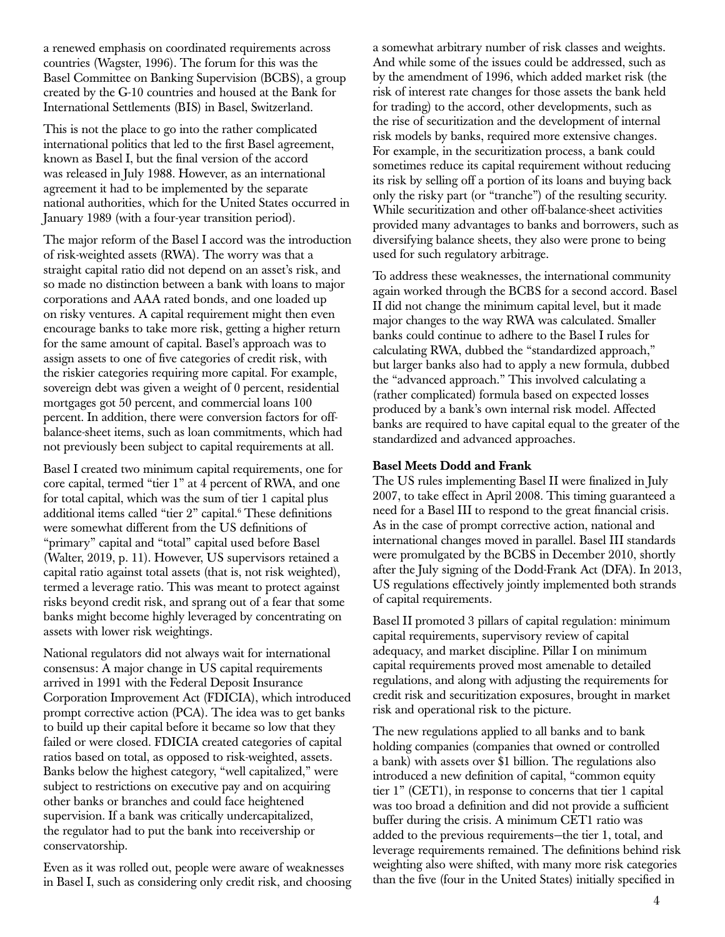a renewed emphasis on coordinated requirements across countries (Wagster, 1996). The forum for this was the Basel Committee on Banking Supervision (BCBS), a group created by the G-10 countries and housed at the Bank for International Settlements (BIS) in Basel, Switzerland.

This is not the place to go into the rather complicated international politics that led to the first Basel agreement, known as Basel I, but the final version of the accord was released in July 1988. However, as an international agreement it had to be implemented by the separate national authorities, which for the United States occurred in January 1989 (with a four-year transition period).

The major reform of the Basel I accord was the introduction of risk-weighted assets (RWA). The worry was that a straight capital ratio did not depend on an asset's risk, and so made no distinction between a bank with loans to major corporations and AAA rated bonds, and one loaded up on risky ventures. A capital requirement might then even encourage banks to take more risk, getting a higher return for the same amount of capital. Basel's approach was to assign assets to one of five categories of credit risk, with the riskier categories requiring more capital. For example, sovereign debt was given a weight of 0 percent, residential mortgages got 50 percent, and commercial loans 100 percent. In addition, there were conversion factors for offbalance-sheet items, such as loan commitments, which had not previously been subject to capital requirements at all.

Basel I created two minimum capital requirements, one for core capital, termed "tier 1" at 4 percent of RWA, and one for total capital, which was the sum of tier 1 capital plus additional items called "tier 2" capital.<sup>6</sup> These definitions were somewhat different from the US definitions of "primary" capital and "total" capital used before Basel (Walter, 2019, p. 11). However, US supervisors retained a capital ratio against total assets (that is, not risk weighted), termed a leverage ratio. This was meant to protect against risks beyond credit risk, and sprang out of a fear that some banks might become highly leveraged by concentrating on assets with lower risk weightings.

National regulators did not always wait for international consensus: A major change in US capital requirements arrived in 1991 with the Federal Deposit Insurance Corporation Improvement Act (FDICIA), which introduced prompt corrective action (PCA). The idea was to get banks to build up their capital before it became so low that they failed or were closed. FDICIA created categories of capital ratios based on total, as opposed to risk-weighted, assets. Banks below the highest category, "well capitalized," were subject to restrictions on executive pay and on acquiring other banks or branches and could face heightened supervision. If a bank was critically undercapitalized, the regulator had to put the bank into receivership or conservatorship.

Even as it was rolled out, people were aware of weaknesses in Basel I, such as considering only credit risk, and choosing a somewhat arbitrary number of risk classes and weights. And while some of the issues could be addressed, such as by the amendment of 1996, which added market risk (the risk of interest rate changes for those assets the bank held for trading) to the accord, other developments, such as the rise of securitization and the development of internal risk models by banks, required more extensive changes. For example, in the securitization process, a bank could sometimes reduce its capital requirement without reducing its risk by selling off a portion of its loans and buying back only the risky part (or "tranche") of the resulting security. While securitization and other off-balance-sheet activities provided many advantages to banks and borrowers, such as diversifying balance sheets, they also were prone to being used for such regulatory arbitrage.

To address these weaknesses, the international community again worked through the BCBS for a second accord. Basel II did not change the minimum capital level, but it made major changes to the way RWA was calculated. Smaller banks could continue to adhere to the Basel I rules for calculating RWA, dubbed the "standardized approach," but larger banks also had to apply a new formula, dubbed the "advanced approach." This involved calculating a (rather complicated) formula based on expected losses produced by a bank's own internal risk model. Affected banks are required to have capital equal to the greater of the standardized and advanced approaches.

### Basel Meets Dodd and Frank

The US rules implementing Basel II were finalized in July 2007, to take effect in April 2008. This timing guaranteed a need for a Basel III to respond to the great financial crisis. As in the case of prompt corrective action, national and international changes moved in parallel. Basel III standards were promulgated by the BCBS in December 2010, shortly after the July signing of the Dodd-Frank Act (DFA). In 2013, US regulations effectively jointly implemented both strands of capital requirements.

Basel II promoted 3 pillars of capital regulation: minimum capital requirements, supervisory review of capital adequacy, and market discipline. Pillar I on minimum capital requirements proved most amenable to detailed regulations, and along with adjusting the requirements for credit risk and securitization exposures, brought in market risk and operational risk to the picture.

The new regulations applied to all banks and to bank holding companies (companies that owned or controlled a bank) with assets over \$1 billion. The regulations also introduced a new definition of capital, "common equity tier 1" (CET1), in response to concerns that tier 1 capital was too broad a definition and did not provide a sufficient buffer during the crisis. A minimum CET1 ratio was added to the previous requirements—the tier 1, total, and leverage requirements remained. The definitions behind risk weighting also were shifted, with many more risk categories than the five (four in the United States) initially specified in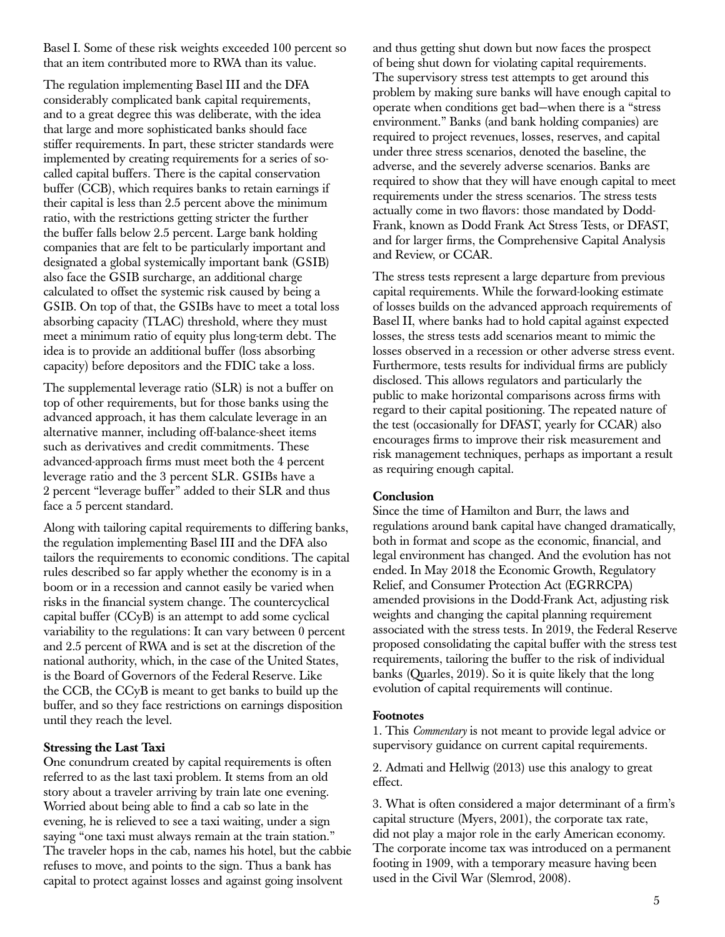Basel I. Some of these risk weights exceeded 100 percent so that an item contributed more to RWA than its value.

The regulation implementing Basel III and the DFA considerably complicated bank capital requirements, and to a great degree this was deliberate, with the idea that large and more sophisticated banks should face stiffer requirements. In part, these stricter standards were implemented by creating requirements for a series of socalled capital buffers. There is the capital conservation buffer (CCB), which requires banks to retain earnings if their capital is less than 2.5 percent above the minimum ratio, with the restrictions getting stricter the further the buffer falls below 2.5 percent. Large bank holding companies that are felt to be particularly important and designated a global systemically important bank (GSIB) also face the GSIB surcharge, an additional charge calculated to offset the systemic risk caused by being a GSIB. On top of that, the GSIBs have to meet a total loss absorbing capacity (TLAC) threshold, where they must meet a minimum ratio of equity plus long-term debt. The idea is to provide an additional buffer (loss absorbing capacity) before depositors and the FDIC take a loss.

The supplemental leverage ratio (SLR) is not a buffer on top of other requirements, but for those banks using the advanced approach, it has them calculate leverage in an alternative manner, including off-balance-sheet items such as derivatives and credit commitments. These advanced-approach firms must meet both the 4 percent leverage ratio and the 3 percent SLR. GSIBs have a 2 percent "leverage buffer" added to their SLR and thus face a 5 percent standard.

Along with tailoring capital requirements to differing banks, the regulation implementing Basel III and the DFA also tailors the requirements to economic conditions. The capital rules described so far apply whether the economy is in a boom or in a recession and cannot easily be varied when risks in the financial system change. The countercyclical capital buffer (CCyB) is an attempt to add some cyclical variability to the regulations: It can vary between 0 percent and 2.5 percent of RWA and is set at the discretion of the national authority, which, in the case of the United States, is the Board of Governors of the Federal Reserve. Like the CCB, the CCyB is meant to get banks to build up the buffer, and so they face restrictions on earnings disposition until they reach the level.

#### Stressing the Last Taxi

One conundrum created by capital requirements is often referred to as the last taxi problem. It stems from an old story about a traveler arriving by train late one evening. Worried about being able to find a cab so late in the evening, he is relieved to see a taxi waiting, under a sign saying "one taxi must always remain at the train station." The traveler hops in the cab, names his hotel, but the cabbie refuses to move, and points to the sign. Thus a bank has capital to protect against losses and against going insolvent

and thus getting shut down but now faces the prospect of being shut down for violating capital requirements. The supervisory stress test attempts to get around this problem by making sure banks will have enough capital to operate when conditions get bad—when there is a "stress environment." Banks (and bank holding companies) are required to project revenues, losses, reserves, and capital under three stress scenarios, denoted the baseline, the adverse, and the severely adverse scenarios. Banks are required to show that they will have enough capital to meet requirements under the stress scenarios. The stress tests actually come in two flavors: those mandated by Dodd-Frank, known as Dodd Frank Act Stress Tests, or DFAST, and for larger firms, the Comprehensive Capital Analysis and Review, or CCAR.

The stress tests represent a large departure from previous capital requirements. While the forward-looking estimate of losses builds on the advanced approach requirements of Basel II, where banks had to hold capital against expected losses, the stress tests add scenarios meant to mimic the losses observed in a recession or other adverse stress event. Furthermore, tests results for individual firms are publicly disclosed. This allows regulators and particularly the public to make horizontal comparisons across firms with regard to their capital positioning. The repeated nature of the test (occasionally for DFAST, yearly for CCAR) also encourages firms to improve their risk measurement and risk management techniques, perhaps as important a result as requiring enough capital.

#### **Conclusion**

Since the time of Hamilton and Burr, the laws and regulations around bank capital have changed dramatically, both in format and scope as the economic, financial, and legal environment has changed. And the evolution has not ended. In May 2018 the Economic Growth, Regulatory Relief, and Consumer Protection Act (EGRRCPA) amended provisions in the Dodd-Frank Act, adjusting risk weights and changing the capital planning requirement associated with the stress tests. In 2019, the Federal Reserve proposed consolidating the capital buffer with the stress test requirements, tailoring the buffer to the risk of individual banks (Quarles, 2019). So it is quite likely that the long evolution of capital requirements will continue.

#### Footnotes

1. This *Commentary* is not meant to provide legal advice or supervisory guidance on current capital requirements.

2. Admati and Hellwig (2013) use this analogy to great effect.

3. What is often considered a major determinant of a firm's capital structure (Myers, 2001), the corporate tax rate, did not play a major role in the early American economy. The corporate income tax was introduced on a permanent footing in 1909, with a temporary measure having been used in the Civil War (Slemrod, 2008).